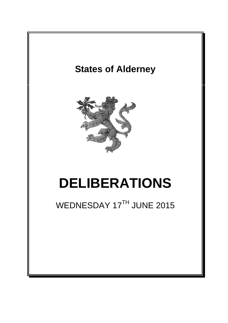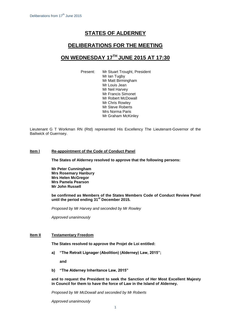# **STATES OF ALDERNEY**

### **DELIBERATIONS FOR THE MEETING**

## **ON WEDNESDAY 17TH JUNE 2015 AT 17:30**

Present: Mr Stuart Trought, President Mr Ian Tugby Mr Matt Birmingham Mr Louis Jean Mr Neil Harvey Mr Francis Simonet Mr Robert McDowall Mr Chris Rowley Mr Steve Roberts Mrs Norma Paris Mr Graham McKinley

Lieutenant G T Workman RN (Rtd) represented His Excellency The Lieutenant-Governor of the Bailiwick of Guernsey.

#### **Item l Re-appointment of the Code of Conduct Panel**

**The States of Alderney resolved to approve that the following persons:**

**Mr Peter Cunningham Mrs Rosemary Hanbury Mrs Helen McGregor Mrs Pamela Pearson Mr John Russell**

**be confirmed as Members of the States Members Code of Conduct Review Panel until the period ending 31st December 2015.**

*Proposed by Mr Harvey and seconded by Mr Rowley*

*Approved unanimously*

#### **Item II Testamentary Freedom**

**The States resolved to approve the Projet de Loi entitled:**

**a) "The Retrait Lignager (Abolition) (Alderney) Law, 2015";** 

**and**

**b) "The Alderney Inheritance Law, 2015"**

**and to request the President to seek the Sanction of Her Most Excellent Majesty in Council for them to have the force of Law in the Island of Alderney.**

*Proposed by Mr McDowall and seconded by Mr Roberts*

*Approved unanimously*